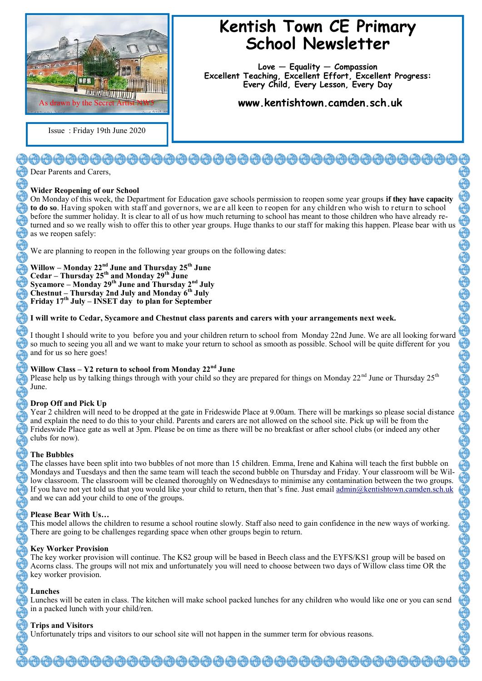

Issue : Friday 19th June 2020

# **Kentish Town CE Primary School Newsletter**

**Love — Equality — Compassion Excellent Teaching, Excellent Effort, Excellent Progress: Every Child, Every Lesson, Every Day**

**www.kentishtown.camden.sch.uk** 

# 

Dear Parents and Carers,

# **Wider Reopening of our School**

On Monday of this week, the Department for Education gave schools permission to reopen some year groups **if they have capacity to do so**. Having spoken with staff and governors, we are all keen to reopen for any children who wish to return to school before the summer holiday. It is clear to all of us how much returning to school has meant to those children who have already returned and so we really wish to offer this to other year groups. Huge thanks to our staff for making this happen. Please bear with us as we reopen safely:

We are planning to reopen in the following year groups on the following dates:

**Willow – Monday 22nd June and Thursday 25th June Cedar – Thursday 25th and Monday 29th June Sycamore – Monday 29th June and Thursday 2nd July Chestnut – Thursday 2nd July and Monday 6th July Friday 17th July – INSET day to plan for September**

### **I will write to Cedar, Sycamore and Chestnut class parents and carers with your arrangements next week.**

I thought I should write to you before you and your children return to school from Monday 22nd June. We are all looking forward so much to seeing you all and we want to make your return to school as smooth as possible. School will be quite different for you and for us so here goes!

#### **Willow Class – Y2 return to school from Monday 22nd June**

Please help us by talking things through with your child so they are prepared for things on Monday  $22^{nd}$  June or Thursday  $25^{th}$ June.

# **Drop Off and Pick Up**

Year 2 children will need to be dropped at the gate in Frideswide Place at 9.00am. There will be markings so please social distance and explain the need to do this to your child. Parents and carers are not allowed on the school site. Pick up will be from the Frideswide Place gate as well at 3pm. Please be on time as there will be no breakfast or after school clubs (or indeed any other clubs for now).

#### **The Bubbles**

The classes have been split into two bubbles of not more than 15 children. Emma, Irene and Kahina will teach the first bubble on Mondays and Tuesdays and then the same team will teach the second bubble on Thursday and Friday. Your classroom will be Willow classroom. The classroom will be cleaned thoroughly on Wednesdays to minimise any contamination between the two groups. If you have not yet told us that you would like your child to return, then that's fine. Just email [admin@kentishtown.camden.sch.uk](mailto:admin@kentishtown.camden.sch.uk) and we can add your child to one of the groups.

# **Please Bear With Us…**

This model allows the children to resume a school routine slowly. Staff also need to gain confidence in the new ways of working. There are going to be challenges regarding space when other groups begin to return.

#### **Key Worker Provision**

The key worker provision will continue. The KS2 group will be based in Beech class and the EYFS/KS1 group will be based on Acorns class. The groups will not mix and unfortunately you will need to choose between two days of Willow class time OR the key worker provision.

# **Lunches**

Lunches will be eaten in class. The kitchen will make school packed lunches for any children who would like one or you can send in a packed lunch with your child/ren.

# **Trips and Visitors**

Unfortunately trips and visitors to our school site will not happen in the summer term for obvious reasons.